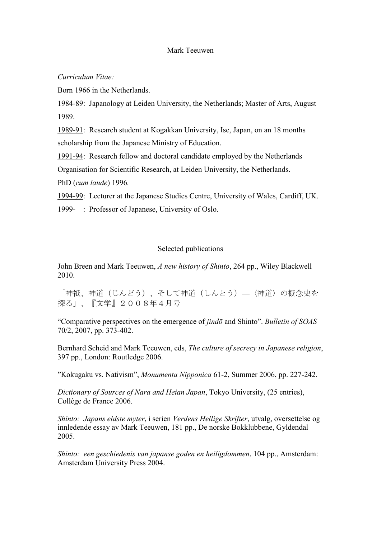## Mark Teeuwen

*Curriculum Vitae:*

Born 1966 in the Netherlands.

1984-89: Japanology at Leiden University, the Netherlands; Master of Arts, August 1989.

1989-91: Research student at Kogakkan University, Ise, Japan, on an 18 months scholarship from the Japanese Ministry of Education.

1991-94: Research fellow and doctoral candidate employed by the Netherlands

Organisation for Scientific Research, at Leiden University, the Netherlands.

PhD (*cum laude*) 1996*.*

1994-99: Lecturer at the Japanese Studies Centre, University of Wales, Cardiff, UK.

1999- : Professor of Japanese, University of Oslo.

## Selected publications

John Breen and Mark Teeuwen, *A new history of Shinto*, 264 pp., Wiley Blackwell 2010.

「神祇、神道(じんどう)、そして神道(しんとう)—〈神道〉の概念史を 探る」、『文学』2008年4月号

"Comparative perspectives on the emergence of *jindō* and Shinto". *Bulletin of SOAS* 70/2, 2007, pp. 373-402.

Bernhard Scheid and Mark Teeuwen, eds, *The culture of secrecy in Japanese religion*, 397 pp., London: Routledge 2006.

"Kokugaku vs. Nativism", *Monumenta Nipponica* 61-2, Summer 2006, pp. 227-242.

*Dictionary of Sources of Nara and Heian Japan*, Tokyo University, (25 entries), Collège de France 2006.

*Shinto: Japans eldste myter*, i serien *Verdens Hellige Skrifter*, utvalg, oversettelse og innledende essay av Mark Teeuwen, 181 pp., De norske Bokklubbene, Gyldendal 2005.

*Shinto: een geschiedenis van japanse goden en heiligdommen*, 104 pp., Amsterdam: Amsterdam University Press 2004.